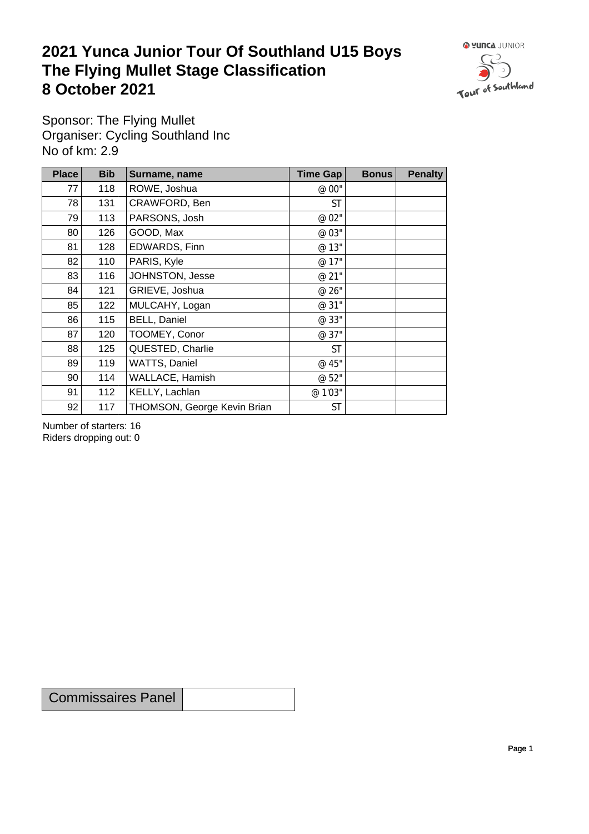## **2021 Yunca Junior Tour Of Southland U15 Boys** The Flying Mullet Stage Classification<br>8 October 2021 **8 October 2021**



Sponsor: The Flying Mullet Organiser: Cycling Southland Inc No of km: 2.9

| <b>Place</b> | <b>Bib</b> | Surname, name               | <b>Time Gap</b> | <b>Bonus</b> | <b>Penalty</b> |
|--------------|------------|-----------------------------|-----------------|--------------|----------------|
| 77           | 118        | ROWE, Joshua                | @ 00"           |              |                |
| 78           | 131        | CRAWFORD, Ben               | <b>ST</b>       |              |                |
| 79           | 113        | PARSONS, Josh               | @ 02"           |              |                |
| 80           | 126        | GOOD, Max                   | @ 03"           |              |                |
| 81           | 128        | EDWARDS, Finn               | @ 13"           |              |                |
| 82           | 110        | PARIS, Kyle                 | @ 17"           |              |                |
| 83           | 116        | JOHNSTON, Jesse             | @ 21"           |              |                |
| 84           | 121        | GRIEVE, Joshua              | @ 26"           |              |                |
| 85           | 122        | MULCAHY, Logan              | @ 31"           |              |                |
| 86           | 115        | <b>BELL, Daniel</b>         | @ 33"           |              |                |
| 87           | 120        | TOOMEY, Conor               | @ 37"           |              |                |
| 88           | 125        | QUESTED, Charlie            | <b>ST</b>       |              |                |
| 89           | 119        | WATTS, Daniel               | @ 45"           |              |                |
| 90           | 114        | WALLACE, Hamish             | @ 52"           |              |                |
| 91           | 112        | KELLY, Lachlan              | @ 1'03"         |              |                |
| 92           | 117        | THOMSON, George Kevin Brian | <b>ST</b>       |              |                |

Number of starters: 16 Riders dropping out: 0

Commissaires Panel